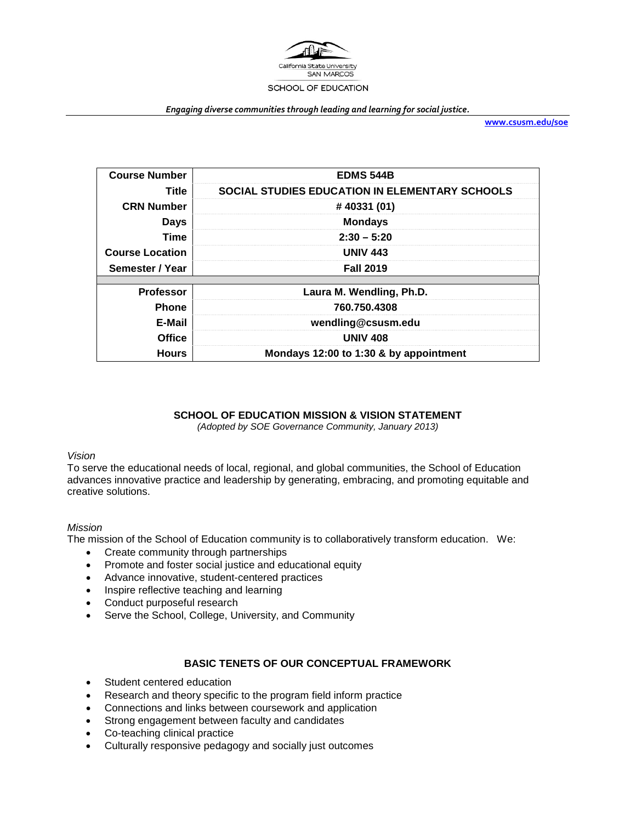

#### *Engaging diverse communities through leading and learning for social justice.*

**[www.csusm.edu/soe](http://www.csusm.edu/soe)**

| <b>Course Number</b>   | <b>EDMS 544B</b>                                      |  |  |
|------------------------|-------------------------------------------------------|--|--|
| Title                  | <b>SOCIAL STUDIES EDUCATION IN ELEMENTARY SCHOOLS</b> |  |  |
| <b>CRN Number</b>      | #40331 (01)                                           |  |  |
| <b>Days</b>            | <b>Mondays</b>                                        |  |  |
| <b>Time</b>            | $2:30 - 5:20$                                         |  |  |
| <b>Course Location</b> | <b>UNIV 443</b>                                       |  |  |
| Semester / Year        | <b>Fall 2019</b>                                      |  |  |
|                        |                                                       |  |  |
| <b>Professor</b>       | Laura M. Wendling, Ph.D.                              |  |  |
| <b>Phone</b>           | 760.750.4308                                          |  |  |
| E-Mail                 | wendling@csusm.edu                                    |  |  |
| <b>Office</b>          | <b>UNIV 408</b>                                       |  |  |
| <b>Hours</b>           | Mondays 12:00 to 1:30 & by appointment                |  |  |

#### **SCHOOL OF EDUCATION MISSION & VISION STATEMENT**

*(Adopted by SOE Governance Community, January 2013)*

#### *Vision*

To serve the educational needs of local, regional, and global communities, the School of Education advances innovative practice and leadership by generating, embracing, and promoting equitable and creative solutions.

#### *Mission*

The mission of the School of Education community is to collaboratively transform education. We:

- Create community through partnerships
- Promote and foster social justice and educational equity
- Advance innovative, student-centered practices
- Inspire reflective teaching and learning
- Conduct purposeful research
- Serve the School, College, University, and Community

#### **BASIC TENETS OF OUR CONCEPTUAL FRAMEWORK**

- Student centered education
- Research and theory specific to the program field inform practice
- Connections and links between coursework and application
- Strong engagement between faculty and candidates
- Co-teaching clinical practice
- Culturally responsive pedagogy and socially just outcomes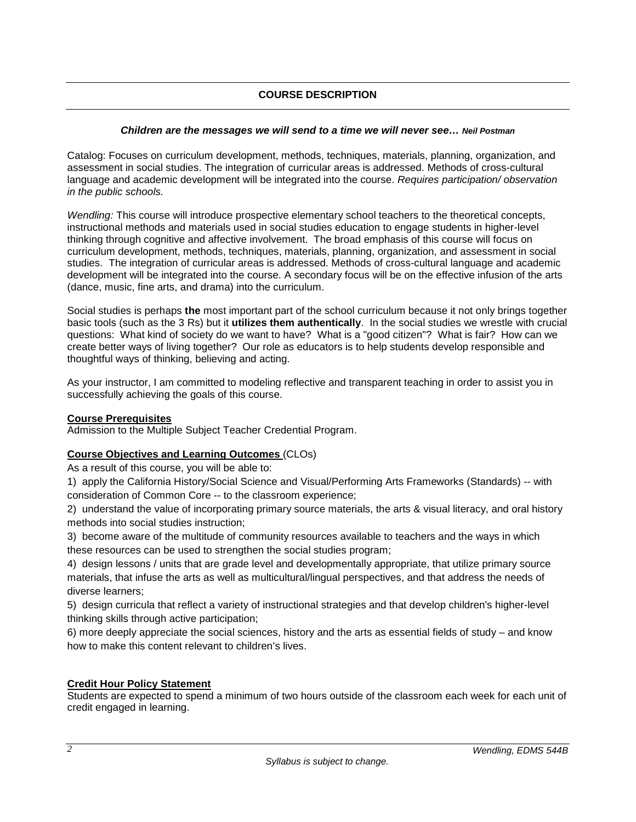# **COURSE DESCRIPTION**

## *Children are the messages we will send to a time we will never see… Neil Postman*

Catalog: Focuses on curriculum development, methods, techniques, materials, planning, organization, and assessment in social studies. The integration of curricular areas is addressed. Methods of cross-cultural language and academic development will be integrated into the course. *Requires participation/ observation in the public schools.*

*Wendling:* This course will introduce prospective elementary school teachers to the theoretical concepts, instructional methods and materials used in social studies education to engage students in higher-level thinking through cognitive and affective involvement. The broad emphasis of this course will focus on curriculum development, methods, techniques, materials, planning, organization, and assessment in social studies. The integration of curricular areas is addressed. Methods of cross-cultural language and academic development will be integrated into the course. A secondary focus will be on the effective infusion of the arts (dance, music, fine arts, and drama) into the curriculum.

Social studies is perhaps **the** most important part of the school curriculum because it not only brings together basic tools (such as the 3 Rs) but it **utilizes them authentically**. In the social studies we wrestle with crucial questions: What kind of society do we want to have? What is a "good citizen"? What is fair? How can we create better ways of living together? Our role as educators is to help students develop responsible and thoughtful ways of thinking, believing and acting.

As your instructor, I am committed to modeling reflective and transparent teaching in order to assist you in successfully achieving the goals of this course.

## **Course Prerequisites**

Admission to the Multiple Subject Teacher Credential Program.

## **Course Objectives and Learning Outcomes** (CLOs)

As a result of this course, you will be able to:

1) apply the California History/Social Science and Visual/Performing Arts Frameworks (Standards) -- with consideration of Common Core -- to the classroom experience;

2) understand the value of incorporating primary source materials, the arts & visual literacy, and oral history methods into social studies instruction;

3) become aware of the multitude of community resources available to teachers and the ways in which these resources can be used to strengthen the social studies program;

4) design lessons / units that are grade level and developmentally appropriate, that utilize primary source materials, that infuse the arts as well as multicultural/lingual perspectives, and that address the needs of diverse learners;

5) design curricula that reflect a variety of instructional strategies and that develop children's higher-level thinking skills through active participation;

6) more deeply appreciate the social sciences, history and the arts as essential fields of study – and know how to make this content relevant to children's lives.

## **Credit Hour Policy Statement**

Students are expected to spend a minimum of two hours outside of the classroom each week for each unit of credit engaged in learning.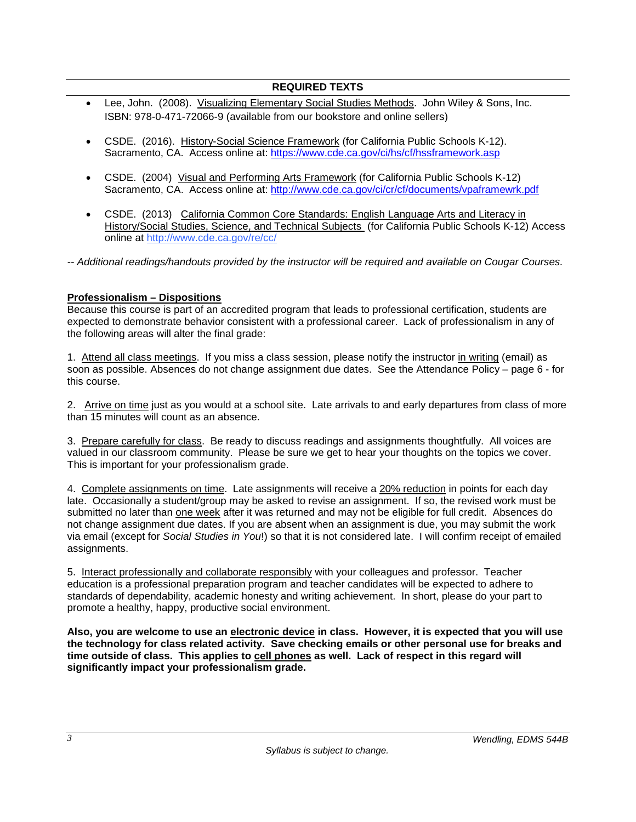## **REQUIRED TEXTS**

- Lee, John. (2008). Visualizing Elementary Social Studies Methods. John Wiley & Sons, Inc. ISBN: 978-0-471-72066-9 (available from our bookstore and online sellers)
- CSDE. (2016). History-Social Science Framework (for California Public Schools K-12). Sacramento, CA. Access online at:<https://www.cde.ca.gov/ci/hs/cf/hssframework.asp>
- CSDE. (2004) Visual and Performing Arts Framework (for California Public Schools K-12) Sacramento, CA. Access online at:<http://www.cde.ca.gov/ci/cr/cf/documents/vpaframewrk.pdf>
- CSDE. (2013) California Common Core Standards: English Language Arts and Literacy in History/Social Studies, Science, and Technical Subjects (for California Public Schools K-12) Access online at<http://www.cde.ca.gov/re/cc/>

*-- Additional readings/handouts provided by the instructor will be required and available on Cougar Courses.*

#### **Professionalism – Dispositions**

Because this course is part of an accredited program that leads to professional certification, students are expected to demonstrate behavior consistent with a professional career. Lack of professionalism in any of the following areas will alter the final grade:

1. Attend all class meetings. If you miss a class session, please notify the instructor in writing (email) as soon as possible. Absences do not change assignment due dates. See the Attendance Policy – page 6 - for this course.

2. Arrive on time just as you would at a school site. Late arrivals to and early departures from class of more than 15 minutes will count as an absence.

3. Prepare carefully for class. Be ready to discuss readings and assignments thoughtfully. All voices are valued in our classroom community. Please be sure we get to hear your thoughts on the topics we cover. This is important for your professionalism grade.

4. Complete assignments on time. Late assignments will receive a 20% reduction in points for each day late. Occasionally a student/group may be asked to revise an assignment. If so, the revised work must be submitted no later than one week after it was returned and may not be eligible for full credit. Absences do not change assignment due dates. If you are absent when an assignment is due, you may submit the work via email (except for *Social Studies in You*!) so that it is not considered late. I will confirm receipt of emailed assignments.

5. Interact professionally and collaborate responsibly with your colleagues and professor. Teacher education is a professional preparation program and teacher candidates will be expected to adhere to standards of dependability, academic honesty and writing achievement. In short, please do your part to promote a healthy, happy, productive social environment.

**Also, you are welcome to use an electronic device in class. However, it is expected that you will use the technology for class related activity. Save checking emails or other personal use for breaks and time outside of class. This applies to cell phones as well. Lack of respect in this regard will significantly impact your professionalism grade.**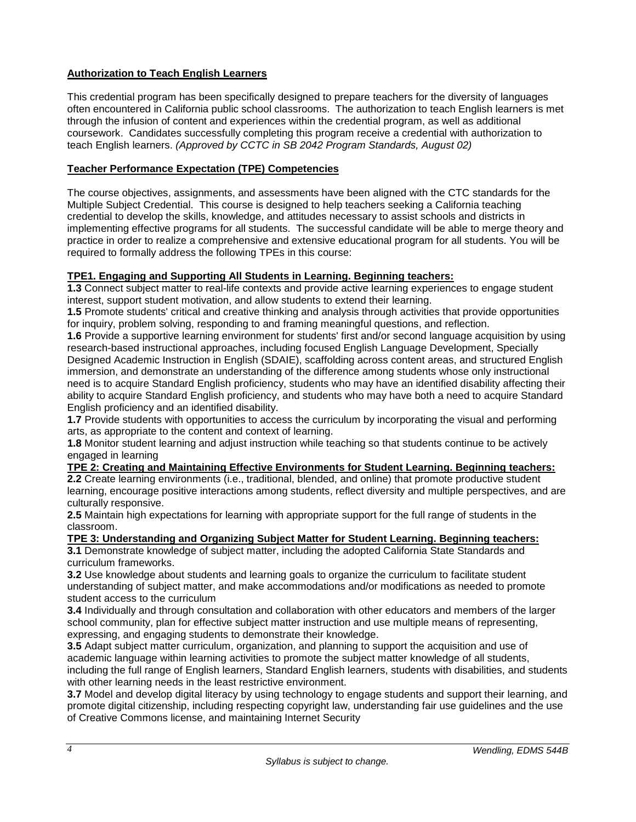# **Authorization to Teach English Learners**

This credential program has been specifically designed to prepare teachers for the diversity of languages often encountered in California public school classrooms. The authorization to teach English learners is met through the infusion of content and experiences within the credential program, as well as additional coursework. Candidates successfully completing this program receive a credential with authorization to teach English learners. *(Approved by CCTC in SB 2042 Program Standards, August 02)*

# **Teacher Performance Expectation (TPE) Competencies**

The course objectives, assignments, and assessments have been aligned with the CTC standards for the Multiple Subject Credential. This course is designed to help teachers seeking a California teaching credential to develop the skills, knowledge, and attitudes necessary to assist schools and districts in implementing effective programs for all students. The successful candidate will be able to merge theory and practice in order to realize a comprehensive and extensive educational program for all students. You will be required to formally address the following TPEs in this course:

## **TPE1. Engaging and Supporting All Students in Learning. Beginning teachers:**

**1.3** Connect subject matter to real-life contexts and provide active learning experiences to engage student interest, support student motivation, and allow students to extend their learning.

**1.5** Promote students' critical and creative thinking and analysis through activities that provide opportunities for inquiry, problem solving, responding to and framing meaningful questions, and reflection.

**1.6** Provide a supportive learning environment for students' first and/or second language acquisition by using research-based instructional approaches, including focused English Language Development, Specially Designed Academic Instruction in English (SDAIE), scaffolding across content areas, and structured English immersion, and demonstrate an understanding of the difference among students whose only instructional need is to acquire Standard English proficiency, students who may have an identified disability affecting their ability to acquire Standard English proficiency, and students who may have both a need to acquire Standard English proficiency and an identified disability.

**1.7** Provide students with opportunities to access the curriculum by incorporating the visual and performing arts, as appropriate to the content and context of learning.

**1.8** Monitor student learning and adjust instruction while teaching so that students continue to be actively engaged in learning

## **TPE 2: Creating and Maintaining Effective Environments for Student Learning. Beginning teachers:**

**2.2** Create learning environments (i.e., traditional, blended, and online) that promote productive student learning, encourage positive interactions among students, reflect diversity and multiple perspectives, and are culturally responsive.

**2.5** Maintain high expectations for learning with appropriate support for the full range of students in the classroom.

## **TPE 3: Understanding and Organizing Subject Matter for Student Learning. Beginning teachers:**

**3.1** Demonstrate knowledge of subject matter, including the adopted California State Standards and curriculum frameworks.

**3.2** Use knowledge about students and learning goals to organize the curriculum to facilitate student understanding of subject matter, and make accommodations and/or modifications as needed to promote student access to the curriculum

**3.4** Individually and through consultation and collaboration with other educators and members of the larger school community, plan for effective subject matter instruction and use multiple means of representing, expressing, and engaging students to demonstrate their knowledge.

**3.5** Adapt subject matter curriculum, organization, and planning to support the acquisition and use of academic language within learning activities to promote the subject matter knowledge of all students, including the full range of English learners, Standard English learners, students with disabilities, and students with other learning needs in the least restrictive environment.

**3.7** Model and develop digital literacy by using technology to engage students and support their learning, and promote digital citizenship, including respecting copyright law, understanding fair use guidelines and the use of Creative Commons license, and maintaining Internet Security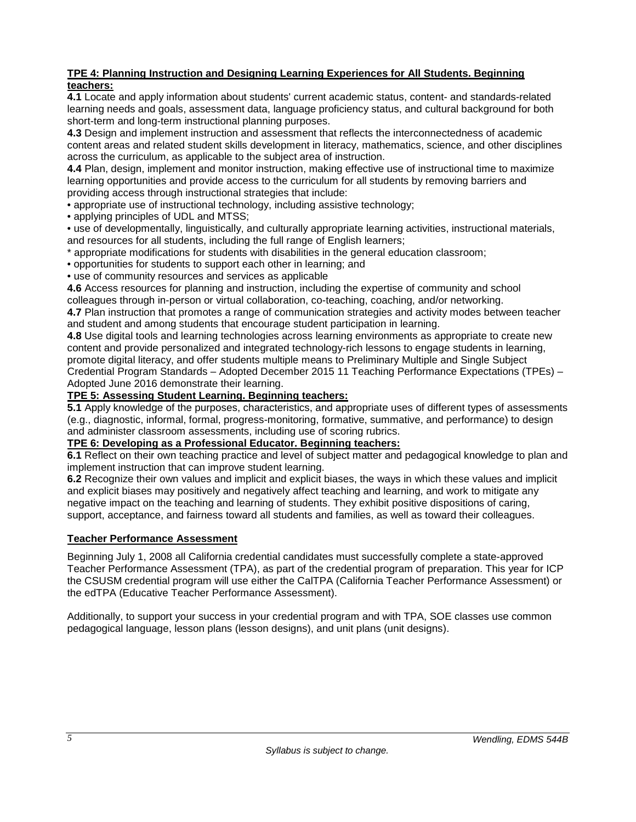## **TPE 4: Planning Instruction and Designing Learning Experiences for All Students. Beginning teachers:**

**4.1** Locate and apply information about students' current academic status, content- and standards-related learning needs and goals, assessment data, language proficiency status, and cultural background for both short-term and long-term instructional planning purposes.

**4.3** Design and implement instruction and assessment that reflects the interconnectedness of academic content areas and related student skills development in literacy, mathematics, science, and other disciplines across the curriculum, as applicable to the subject area of instruction.

**4.4** Plan, design, implement and monitor instruction, making effective use of instructional time to maximize learning opportunities and provide access to the curriculum for all students by removing barriers and providing access through instructional strategies that include:

• appropriate use of instructional technology, including assistive technology;

• applying principles of UDL and MTSS:

• use of developmentally, linguistically, and culturally appropriate learning activities, instructional materials, and resources for all students, including the full range of English learners;

\* appropriate modifications for students with disabilities in the general education classroom;

• opportunities for students to support each other in learning; and

• use of community resources and services as applicable

**4.6** Access resources for planning and instruction, including the expertise of community and school colleagues through in-person or virtual collaboration, co-teaching, coaching, and/or networking.

**4.7** Plan instruction that promotes a range of communication strategies and activity modes between teacher and student and among students that encourage student participation in learning.

**4.8** Use digital tools and learning technologies across learning environments as appropriate to create new content and provide personalized and integrated technology-rich lessons to engage students in learning, promote digital literacy, and offer students multiple means to Preliminary Multiple and Single Subject Credential Program Standards – Adopted December 2015 11 Teaching Performance Expectations (TPEs) – Adopted June 2016 demonstrate their learning.

## **TPE 5: Assessing Student Learning. Beginning teachers:**

**5.1** Apply knowledge of the purposes, characteristics, and appropriate uses of different types of assessments (e.g., diagnostic, informal, formal, progress-monitoring, formative, summative, and performance) to design and administer classroom assessments, including use of scoring rubrics.

## **TPE 6: Developing as a Professional Educator. Beginning teachers:**

**6.1** Reflect on their own teaching practice and level of subject matter and pedagogical knowledge to plan and implement instruction that can improve student learning.

**6.2** Recognize their own values and implicit and explicit biases, the ways in which these values and implicit and explicit biases may positively and negatively affect teaching and learning, and work to mitigate any negative impact on the teaching and learning of students. They exhibit positive dispositions of caring, support, acceptance, and fairness toward all students and families, as well as toward their colleagues.

# **Teacher Performance Assessment**

Beginning July 1, 2008 all California credential candidates must successfully complete a state-approved Teacher Performance Assessment (TPA), as part of the credential program of preparation. This year for ICP the CSUSM credential program will use either the CalTPA (California Teacher Performance Assessment) or the edTPA (Educative Teacher Performance Assessment).

Additionally, to support your success in your credential program and with TPA, SOE classes use common pedagogical language, lesson plans (lesson designs), and unit plans (unit designs).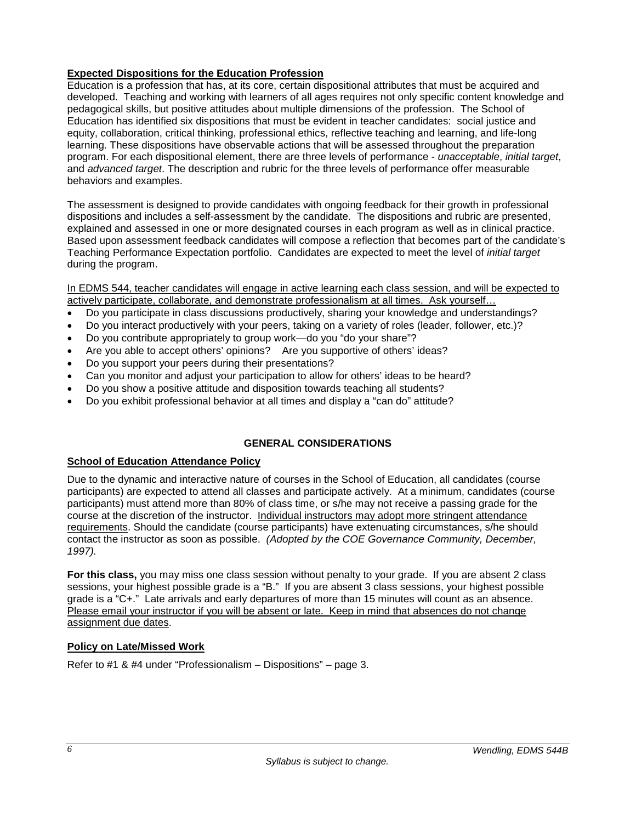## **Expected Dispositions for the Education Profession**

Education is a profession that has, at its core, certain dispositional attributes that must be acquired and developed. Teaching and working with learners of all ages requires not only specific content knowledge and pedagogical skills, but positive attitudes about multiple dimensions of the profession. The School of Education has identified six dispositions that must be evident in teacher candidates: social justice and equity, collaboration, critical thinking, professional ethics, reflective teaching and learning, and life-long learning. These dispositions have observable actions that will be assessed throughout the preparation program. For each dispositional element, there are three levels of performance - *unacceptable*, *initial target*, and *advanced target*. The description and rubric for the three levels of performance offer measurable behaviors and examples.

The assessment is designed to provide candidates with ongoing feedback for their growth in professional dispositions and includes a self-assessment by the candidate. The dispositions and rubric are presented, explained and assessed in one or more designated courses in each program as well as in clinical practice. Based upon assessment feedback candidates will compose a reflection that becomes part of the candidate's Teaching Performance Expectation portfolio. Candidates are expected to meet the level of *initial target* during the program.

In EDMS 544, teacher candidates will engage in active learning each class session, and will be expected to actively participate, collaborate, and demonstrate professionalism at all times. Ask yourself…

- Do you participate in class discussions productively, sharing your knowledge and understandings?
- Do you interact productively with your peers, taking on a variety of roles (leader, follower, etc.)?
- Do you contribute appropriately to group work—do you "do your share"?
- Are you able to accept others' opinions? Are you supportive of others' ideas?
- Do you support your peers during their presentations?
- Can you monitor and adjust your participation to allow for others' ideas to be heard?
- Do you show a positive attitude and disposition towards teaching all students?
- Do you exhibit professional behavior at all times and display a "can do" attitude?

# **GENERAL CONSIDERATIONS**

## **School of Education Attendance Policy**

Due to the dynamic and interactive nature of courses in the School of Education, all candidates (course participants) are expected to attend all classes and participate actively. At a minimum, candidates (course participants) must attend more than 80% of class time, or s/he may not receive a passing grade for the course at the discretion of the instructor. Individual instructors may adopt more stringent attendance requirements. Should the candidate (course participants) have extenuating circumstances, s/he should contact the instructor as soon as possible. *(Adopted by the COE Governance Community, December, 1997).*

**For this class,** you may miss one class session without penalty to your grade.If you are absent 2 class sessions, your highest possible grade is a "B." If you are absent 3 class sessions, your highest possible grade is a "C+." Late arrivals and early departures of more than 15 minutes will count as an absence. Please email your instructor if you will be absent or late. Keep in mind that absences do not change assignment due dates.

## **Policy on Late/Missed Work**

Refer to #1 & #4 under "Professionalism – Dispositions" – page 3.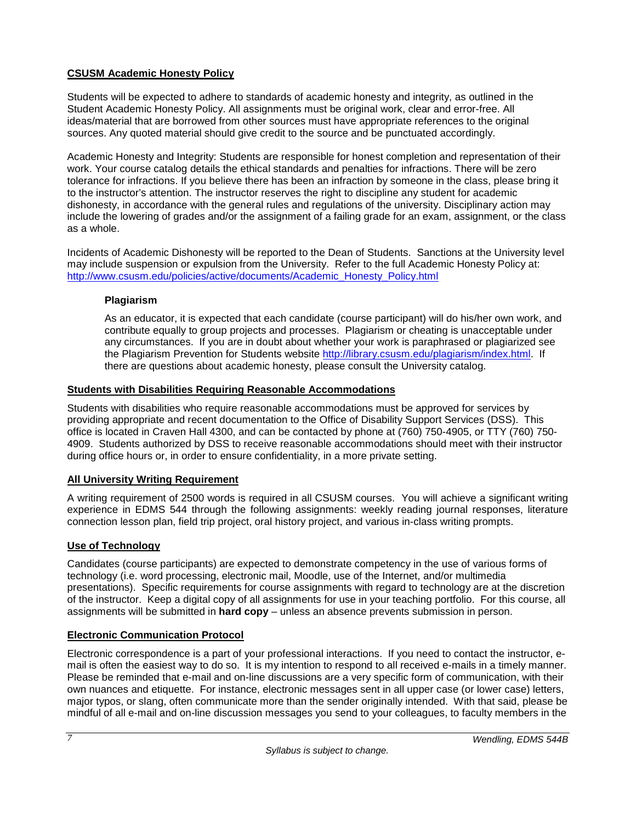# **CSUSM Academic Honesty Policy**

Students will be expected to adhere to standards of academic honesty and integrity, as outlined in the Student Academic Honesty Policy. All assignments must be original work, clear and error-free. All ideas/material that are borrowed from other sources must have appropriate references to the original sources. Any quoted material should give credit to the source and be punctuated accordingly.

Academic Honesty and Integrity: Students are responsible for honest completion and representation of their work. Your course catalog details the ethical standards and penalties for infractions. There will be zero tolerance for infractions. If you believe there has been an infraction by someone in the class, please bring it to the instructor's attention. The instructor reserves the right to discipline any student for academic dishonesty, in accordance with the general rules and regulations of the university. Disciplinary action may include the lowering of grades and/or the assignment of a failing grade for an exam, assignment, or the class as a whole.

Incidents of Academic Dishonesty will be reported to the Dean of Students. Sanctions at the University level may include suspension or expulsion from the University. Refer to the full Academic Honesty Policy at: [http://www.csusm.edu/policies/active/documents/Academic\\_Honesty\\_Policy.html](http://www.csusm.edu/policies/active/documents/Academic_Honesty_Policy.html)

# **Plagiarism**

As an educator, it is expected that each candidate (course participant) will do his/her own work, and contribute equally to group projects and processes. Plagiarism or cheating is unacceptable under any circumstances. If you are in doubt about whether your work is paraphrased or plagiarized see the Plagiarism Prevention for Students website [http://library.csusm.edu/plagiarism/index.html.](http://library.csusm.edu/plagiarism/index.html) If there are questions about academic honesty, please consult the University catalog.

## **Students with Disabilities Requiring Reasonable Accommodations**

Students with disabilities who require reasonable accommodations must be approved for services by providing appropriate and recent documentation to the Office of Disability Support Services (DSS). This office is located in Craven Hall 4300, and can be contacted by phone at (760) 750-4905, or TTY (760) 750- 4909. Students authorized by DSS to receive reasonable accommodations should meet with their instructor during office hours or, in order to ensure confidentiality, in a more private setting.

# **All University Writing Requirement**

A writing requirement of 2500 words is required in all CSUSM courses. You will achieve a significant writing experience in EDMS 544 through the following assignments: weekly reading journal responses, literature connection lesson plan, field trip project, oral history project, and various in-class writing prompts.

# **Use of Technology**

Candidates (course participants) are expected to demonstrate competency in the use of various forms of technology (i.e. word processing, electronic mail, Moodle, use of the Internet, and/or multimedia presentations). Specific requirements for course assignments with regard to technology are at the discretion of the instructor. Keep a digital copy of all assignments for use in your teaching portfolio. For this course, all assignments will be submitted in **hard copy** – unless an absence prevents submission in person.

## **Electronic Communication Protocol**

Electronic correspondence is a part of your professional interactions. If you need to contact the instructor, email is often the easiest way to do so. It is my intention to respond to all received e-mails in a timely manner. Please be reminded that e-mail and on-line discussions are a very specific form of communication, with their own nuances and etiquette. For instance, electronic messages sent in all upper case (or lower case) letters, major typos, or slang, often communicate more than the sender originally intended. With that said, please be mindful of all e-mail and on-line discussion messages you send to your colleagues, to faculty members in the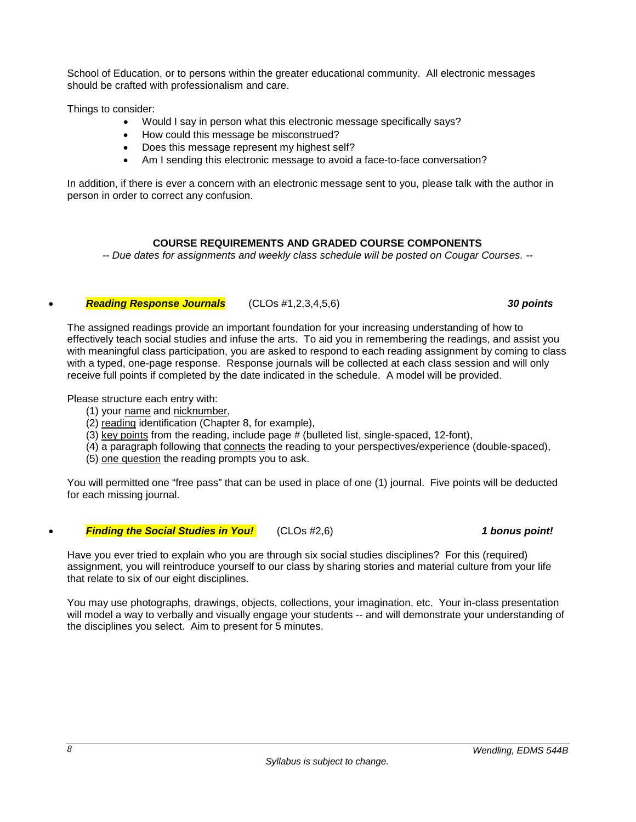School of Education, or to persons within the greater educational community. All electronic messages should be crafted with professionalism and care.

Things to consider:

- Would I say in person what this electronic message specifically says?
- How could this message be misconstrued?
- Does this message represent my highest self?
- Am I sending this electronic message to avoid a face-to-face conversation?

In addition, if there is ever a concern with an electronic message sent to you, please talk with the author in person in order to correct any confusion.

#### **COURSE REQUIREMENTS AND GRADED COURSE COMPONENTS**

*-- Due dates for assignments and weekly class schedule will be posted on Cougar Courses. --*

#### • *Reading Response Journals* (CLOs #1,2,3,4,5,6) *30 points*

The assigned readings provide an important foundation for your increasing understanding of how to effectively teach social studies and infuse the arts. To aid you in remembering the readings, and assist you with meaningful class participation, you are asked to respond to each reading assignment by coming to class with a typed, one-page response. Response journals will be collected at each class session and will only receive full points if completed by the date indicated in the schedule. A model will be provided.

Please structure each entry with:

- (1) your name and nicknumber,
- (2) reading identification (Chapter 8, for example),
- (3) key points from the reading, include page # (bulleted list, single-spaced, 12-font),
- (4) a paragraph following that connects the reading to your perspectives/experience (double-spaced),
- (5) one question the reading prompts you to ask.

You will permitted one "free pass" that can be used in place of one (1) journal. Five points will be deducted for each missing journal.

• *Finding the Social Studies in You!* (CLOs #2,6) *1 bonus point!*

Have you ever tried to explain who you are through six social studies disciplines? For this (required) assignment, you will reintroduce yourself to our class by sharing stories and material culture from your life that relate to six of our eight disciplines.

You may use photographs, drawings, objects, collections, your imagination, etc. Your in-class presentation will model a way to verbally and visually engage your students -- and will demonstrate your understanding of the disciplines you select. Aim to present for 5 minutes.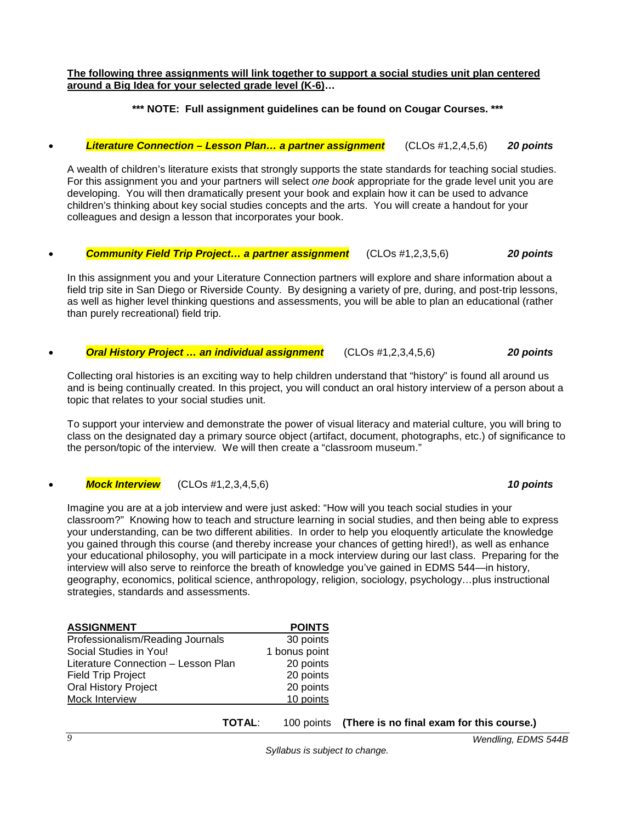**The following three assignments will link together to support a social studies unit plan centered around a Big Idea for your selected grade level (K-6)…**

## **\*\*\* NOTE: Full assignment guidelines can be found on Cougar Courses. \*\*\***

# • *Literature Connection – Lesson Plan… a partner assignment* (CLOs #1,2,4,5,6) *20 points*

A wealth of children's literature exists that strongly supports the state standards for teaching social studies. For this assignment you and your partners will select *one book* appropriate for the grade level unit you are developing. You will then dramatically present your book and explain how it can be used to advance children's thinking about key social studies concepts and the arts. You will create a handout for your colleagues and design a lesson that incorporates your book.

• *Community Field Trip Project… a partner assignment* (CLOs #1,2,3,5,6) *20 points*

In this assignment you and your Literature Connection partners will explore and share information about a field trip site in San Diego or Riverside County. By designing a variety of pre, during, and post-trip lessons, as well as higher level thinking questions and assessments, you will be able to plan an educational (rather than purely recreational) field trip.

• *Oral History Project … an individual assignment* (CLOs #1,2,3,4,5,6) *20 points*

Collecting oral histories is an exciting way to help children understand that "history" is found all around us and is being continually created. In this project, you will conduct an oral history interview of a person about a topic that relates to your social studies unit.

To support your interview and demonstrate the power of visual literacy and material culture, you will bring to class on the designated day a primary source object (artifact, document, photographs, etc.) of significance to the person/topic of the interview. We will then create a "classroom museum."

• *Mock Interview* (CLOs #1,2,3,4,5,6) *10 points*

Imagine you are at a job interview and were just asked: "How will you teach social studies in your classroom?" Knowing how to teach and structure learning in social studies, and then being able to express your understanding, can be two different abilities. In order to help you eloquently articulate the knowledge you gained through this course (and thereby increase your chances of getting hired!), as well as enhance your educational philosophy, you will participate in a mock interview during our last class. Preparing for the interview will also serve to reinforce the breath of knowledge you've gained in EDMS 544—in history, geography, economics, political science, anthropology, religion, sociology, psychology…plus instructional strategies, standards and assessments.

| <b>ASSIGNMENT</b>                   | <b>POINTS</b> |                                           |
|-------------------------------------|---------------|-------------------------------------------|
| Professionalism/Reading Journals    | 30 points     |                                           |
| Social Studies in You!              | 1 bonus point |                                           |
| Literature Connection - Lesson Plan | 20 points     |                                           |
| <b>Field Trip Project</b>           | 20 points     |                                           |
| <b>Oral History Project</b>         | 20 points     |                                           |
| Mock Interview                      | 10 points     |                                           |
|                                     |               |                                           |
| <b>TOTAL:</b>                       | 100 points    | (There is no final exam for this course.) |